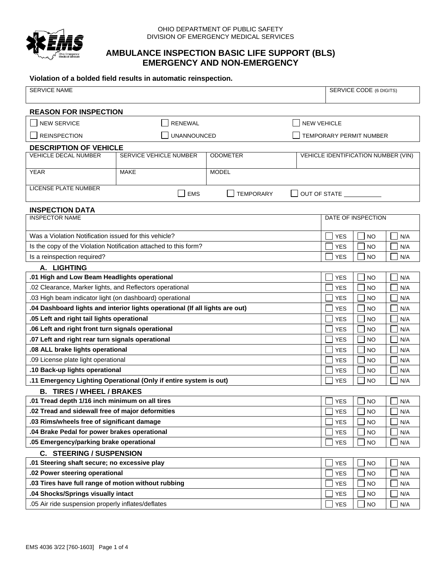

#### OHIO DEPARTMENT OF PUBLIC SAFETY DIVISION OF EMERGENCY MEDICAL SERVICES

## **AMBULANCE INSPECTION BASIC LIFE SUPPORT (BLS) EMERGENCY AND NON-EMERGENCY**

### **Violation of a bolded field results in automatic reinspection.**

| <b>SERVICE NAME</b>                                                                                                        |                                                                   |                  | <b>SERVICE CODE (6 DIGITS)</b> |                                     |                         |            |
|----------------------------------------------------------------------------------------------------------------------------|-------------------------------------------------------------------|------------------|--------------------------------|-------------------------------------|-------------------------|------------|
|                                                                                                                            |                                                                   |                  |                                |                                     |                         |            |
| <b>REASON FOR INSPECTION</b>                                                                                               |                                                                   |                  |                                |                                     |                         |            |
| <b>NEW SERVICE</b>                                                                                                         | <b>RENEWAL</b>                                                    |                  | <b>NEW VEHICLE</b>             |                                     |                         |            |
| <b>REINSPECTION</b>                                                                                                        | <b>UNANNOUNCED</b>                                                |                  |                                |                                     | TEMPORARY PERMIT NUMBER |            |
| <b>DESCRIPTION OF VEHICLE</b>                                                                                              |                                                                   |                  |                                |                                     |                         |            |
| VEHICLE DECAL NUMBER                                                                                                       | SERVICE VEHICLE NUMBER                                            | <b>ODOMETER</b>  |                                | VEHICLE IDENTIFICATION NUMBER (VIN) |                         |            |
| <b>YEAR</b>                                                                                                                | MAKE                                                              | <b>MODEL</b>     |                                |                                     |                         |            |
|                                                                                                                            |                                                                   |                  |                                |                                     |                         |            |
| LICENSE PLATE NUMBER                                                                                                       | <b>EMS</b>                                                        | <b>TEMPORARY</b> |                                | OUT OF STATE __________             |                         |            |
| <b>INSPECTION DATA</b>                                                                                                     |                                                                   |                  |                                |                                     |                         |            |
| <b>INSPECTOR NAME</b>                                                                                                      |                                                                   |                  |                                | DATE OF INSPECTION                  |                         |            |
| Was a Violation Notification issued for this vehicle?                                                                      |                                                                   |                  |                                |                                     |                         |            |
|                                                                                                                            |                                                                   |                  |                                | <b>YES</b>                          | <b>NO</b>               | N/A        |
| Is a reinspection required?                                                                                                | Is the copy of the Violation Notification attached to this form?  |                  |                                | YES<br><b>YES</b>                   | NO<br><b>NO</b>         | N/A<br>N/A |
| A. LIGHTING                                                                                                                |                                                                   |                  |                                |                                     |                         |            |
| .01 High and Low Beam Headlights operational                                                                               |                                                                   |                  |                                | <b>YES</b>                          | <b>NO</b>               | N/A        |
| .02 Clearance, Marker lights, and Reflectors operational                                                                   |                                                                   |                  |                                | YES                                 | <b>NO</b>               | N/A        |
| .03 High beam indicator light (on dashboard) operational                                                                   |                                                                   |                  |                                | YES                                 | NO                      | N/A        |
|                                                                                                                            |                                                                   |                  |                                | YES                                 | <b>NO</b>               | N/A        |
| .04 Dashboard lights and interior lights operational (If all lights are out)<br>.05 Left and right tail lights operational |                                                                   |                  | YES                            | <b>NO</b>                           | N/A                     |            |
| .06 Left and right front turn signals operational                                                                          |                                                                   |                  | <b>YES</b>                     | <b>NO</b>                           | N/A                     |            |
| .07 Left and right rear turn signals operational                                                                           |                                                                   |                  |                                | YES                                 | <b>NO</b>               | N/A        |
| .08 ALL brake lights operational                                                                                           |                                                                   |                  |                                | <b>YES</b>                          | <b>NO</b>               | N/A        |
| .09 License plate light operational                                                                                        |                                                                   |                  |                                | <b>YES</b>                          | <b>NO</b>               | N/A        |
| .10 Back-up lights operational                                                                                             |                                                                   |                  |                                | YES                                 | <b>NO</b>               | N/A        |
|                                                                                                                            | .11 Emergency Lighting Operational (Only if entire system is out) |                  |                                | <b>YES</b>                          | <b>NO</b>               | N/A        |
| <b>B. TIRES / WHEEL / BRAKES</b>                                                                                           |                                                                   |                  |                                |                                     |                         |            |
| .01 Tread depth 1/16 inch minimum on all tires                                                                             |                                                                   |                  |                                | <b>YES</b>                          | <b>NO</b>               | N/A        |
| .02 Tread and sidewall free of major deformities                                                                           |                                                                   |                  |                                | <b>YES</b>                          | <b>NO</b>               | N/A        |
| .03 Rims/wheels free of significant damage                                                                                 |                                                                   |                  |                                | <b>YES</b>                          | <b>NO</b>               | N/A        |
| .04 Brake Pedal for power brakes operational                                                                               |                                                                   |                  | <b>YES</b>                     | <b>NO</b>                           | N/A                     |            |
| .05 Emergency/parking brake operational                                                                                    |                                                                   |                  | <b>YES</b>                     | <b>NO</b>                           | N/A                     |            |
| <b>C. STEERING / SUSPENSION</b>                                                                                            |                                                                   |                  |                                |                                     |                         |            |
| .01 Steering shaft secure; no excessive play                                                                               |                                                                   | <b>YES</b>       | <b>NO</b>                      | N/A                                 |                         |            |
| .02 Power steering operational                                                                                             |                                                                   |                  |                                | <b>YES</b>                          | <b>NO</b>               | N/A        |
| .03 Tires have full range of motion without rubbing                                                                        |                                                                   |                  | <b>YES</b>                     | <b>NO</b>                           | N/A                     |            |
| .04 Shocks/Springs visually intact                                                                                         |                                                                   |                  | <b>YES</b>                     | <b>NO</b>                           | N/A                     |            |
| .05 Air ride suspension properly inflates/deflates                                                                         |                                                                   |                  | <b>YES</b>                     | <b>NO</b>                           | N/A                     |            |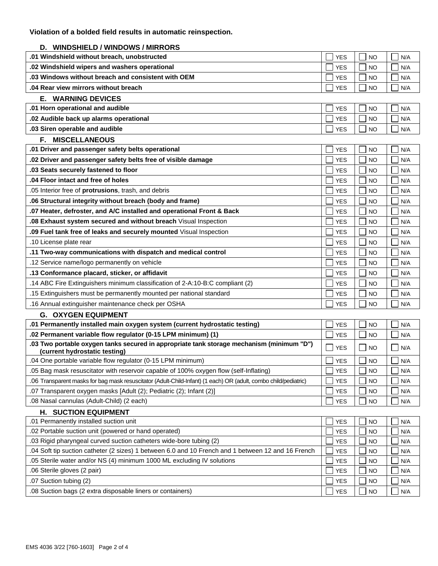# **D. WINDSHIELD / WINDOWS / MIRRORS**

| D.<br>WINDSHIELD / WINDOWS / MIRRORS                                                                                       |                   |           |     |
|----------------------------------------------------------------------------------------------------------------------------|-------------------|-----------|-----|
| .01 Windshield without breach, unobstructed                                                                                | <b>YES</b>        | NO        | N/A |
| .02 Windshield wipers and washers operational                                                                              | <b>YES</b>        | <b>NO</b> | N/A |
| .03 Windows without breach and consistent with OEM                                                                         |                   | <b>NO</b> | N/A |
| .04 Rear view mirrors without breach                                                                                       | <b>YES</b>        | <b>NO</b> | N/A |
| <b>E. WARNING DEVICES</b>                                                                                                  |                   |           |     |
| .01 Horn operational and audible                                                                                           | <b>YES</b>        | NO        | N/A |
| .02 Audible back up alarms operational                                                                                     | <b>YES</b>        | <b>NO</b> | N/A |
| .03 Siren operable and audible                                                                                             | <b>YES</b>        | <b>NO</b> | N/A |
| <b>MISCELLANEOUS</b><br>F.                                                                                                 |                   |           |     |
| .01 Driver and passenger safety belts operational                                                                          | <b>YES</b>        | <b>NO</b> | N/A |
| .02 Driver and passenger safety belts free of visible damage                                                               | <b>YES</b>        | <b>NO</b> | N/A |
| .03 Seats securely fastened to floor                                                                                       | <b>YES</b>        | <b>NO</b> | N/A |
| .04 Floor intact and free of holes                                                                                         | <b>YES</b>        | <b>NO</b> | N/A |
| .05 Interior free of protrusions, trash, and debris                                                                        | <b>YES</b>        | <b>NO</b> | N/A |
| .06 Structural integrity without breach (body and frame)                                                                   | <b>YES</b>        | <b>NO</b> | N/A |
| .07 Heater, defroster, and A/C installed and operational Front & Back                                                      | <b>YES</b>        | <b>NO</b> | N/A |
| .08 Exhaust system secured and without breach Visual Inspection                                                            | <b>YES</b>        | <b>NO</b> | N/A |
| .09 Fuel tank free of leaks and securely mounted Visual Inspection                                                         | <b>YES</b>        | <b>NO</b> | N/A |
| .10 License plate rear                                                                                                     | <b>YES</b>        | <b>NO</b> | N/A |
| .11 Two-way communications with dispatch and medical control                                                               | <b>YES</b>        | <b>NO</b> | N/A |
| .12 Service name/logo permanently on vehicle                                                                               | <b>YES</b>        | <b>NO</b> | N/A |
| .13 Conformance placard, sticker, or affidavit                                                                             | <b>YES</b>        | NO        | N/A |
| .14 ABC Fire Extinguishers minimum classification of 2-A:10-B:C compliant (2)                                              | <b>YES</b>        | <b>NO</b> | N/A |
| .15 Extinguishers must be permanently mounted per national standard                                                        | <b>YES</b>        | <b>NO</b> | N/A |
| .16 Annual extinguisher maintenance check per OSHA                                                                         | <b>YES</b>        | <b>NO</b> | N/A |
| <b>G. OXYGEN EQUIPMENT</b>                                                                                                 |                   |           |     |
| .01 Permanently installed main oxygen system (current hydrostatic testing)                                                 | <b>YES</b>        | <b>NO</b> | N/A |
| .02 Permanent variable flow regulator (0-15 LPM minimum) (1)                                                               | <b>YES</b>        | NO        | N/A |
| .03 Two portable oxygen tanks secured in appropriate tank storage mechanism (minimum "D")<br>(current hydrostatic testing) | <b>YES</b><br>a s | <b>NO</b> | N/A |
| .04 One portable variable flow regulator (0-15 LPM minimum)                                                                | <b>YES</b>        | <b>NO</b> | N/A |
| .05 Bag mask resuscitator with reservoir capable of 100% oxygen flow (self-Inflating)                                      | <b>YES</b>        | <b>NO</b> | N/A |
| .06 Transparent masks for bag mask resuscitator (Adult-Child-Infant) (1 each) OR (adult, combo child/pediatric)            | <b>YES</b>        | <b>NO</b> | N/A |
| .07 Transparent oxygen masks [Adult (2); Pediatric (2); Infant (2)]                                                        | <b>YES</b>        | <b>NO</b> | N/A |
| .08 Nasal cannulas (Adult-Child) (2 each)                                                                                  | <b>YES</b>        | <b>NO</b> | N/A |
| <b>H. SUCTION EQUIPMENT</b>                                                                                                |                   |           |     |
| .01 Permanently installed suction unit                                                                                     | <b>YES</b>        | <b>NO</b> | N/A |
| .02 Portable suction unit (powered or hand operated)                                                                       | <b>YES</b>        | NO        | N/A |
| .03 Rigid pharyngeal curved suction catheters wide-bore tubing (2)                                                         | <b>YES</b>        | <b>NO</b> | N/A |
| .04 Soft tip suction catheter (2 sizes) 1 between 6.0 and 10 French and 1 between 12 and 16 French                         | <b>YES</b>        | <b>NO</b> | N/A |
| .05 Sterile water and/or NS (4) minimum 1000 ML excluding IV solutions                                                     | <b>YES</b>        | <b>NO</b> | N/A |
| .06 Sterile gloves (2 pair)                                                                                                | <b>YES</b>        | <b>NO</b> | N/A |
| .07 Suction tubing (2)                                                                                                     | <b>YES</b>        | <b>NO</b> | N/A |
| .08 Suction bags (2 extra disposable liners or containers)                                                                 | <b>YES</b>        | <b>NO</b> | N/A |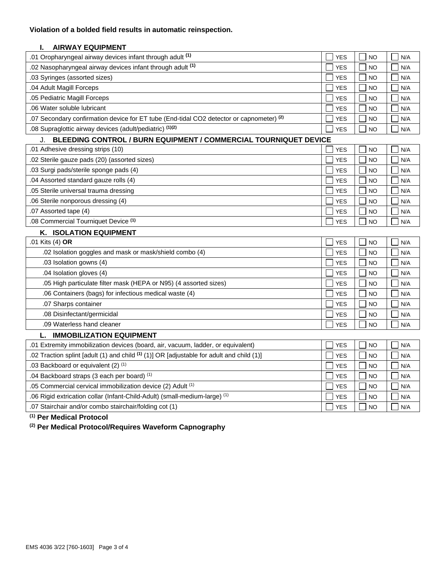## **Violation of a bolded field results in automatic reinspection.**

### **I. AIRWAY EQUIPMENT**

| .01 Oropharyngeal airway devices infant through adult (1)                                | <b>YES</b> | NO        | N/A |
|------------------------------------------------------------------------------------------|------------|-----------|-----|
| .02 Nasopharyngeal airway devices infant through adult (1)                               | <b>YES</b> | <b>NO</b> | N/A |
| .03 Syringes (assorted sizes)                                                            | <b>YES</b> | <b>NO</b> | N/A |
| .04 Adult Magill Forceps                                                                 | <b>YES</b> | <b>NO</b> | N/A |
| .05 Pediatric Magill Forceps                                                             | <b>YES</b> | <b>NO</b> | N/A |
| .06 Water soluble lubricant                                                              | <b>YES</b> | NO        | N/A |
| .07 Secondary confirmation device for ET tube (End-tidal CO2 detector or capnometer) (2) | <b>YES</b> | <b>NO</b> | N/A |
| .08 Supraglottic airway devices (adult/pediatric) (1)(2)                                 | <b>YES</b> | <b>NO</b> | N/A |

| <b>BLEEDING CONTROL / BURN EQUIPMENT / COMMERCIAL TOURNIQUET DEVICE</b><br>J. |            |           |     |  |
|-------------------------------------------------------------------------------|------------|-----------|-----|--|
| .01 Adhesive dressing strips (10)                                             | <b>YES</b> | <b>NO</b> | N/A |  |
| .02 Sterile gauze pads (20) (assorted sizes)                                  | <b>YES</b> | <b>NO</b> | N/A |  |
| .03 Surgi pads/sterile sponge pads (4)                                        | <b>YES</b> | <b>NO</b> | N/A |  |
| .04 Assorted standard gauze rolls (4)                                         | <b>YES</b> | <b>NO</b> | N/A |  |
| .05 Sterile universal trauma dressing                                         | <b>YES</b> | <b>NO</b> | N/A |  |
| .06 Sterile nonporous dressing (4)                                            | <b>YES</b> | <b>NO</b> | N/A |  |
| .07 Assorted tape (4)                                                         | <b>YES</b> | <b>NO</b> | N/A |  |
| .08 Commercial Tourniquet Device (1)                                          | <b>YES</b> | NO        | N/A |  |

| <b>ISOLATION EQUIPMENT</b><br>Κ.                                  |            |                    |     |
|-------------------------------------------------------------------|------------|--------------------|-----|
| .01 Kits (4) OR                                                   | <b>YES</b> | NO                 | N/A |
| .02 Isolation goggles and mask or mask/shield combo (4)           | <b>YES</b> | I Ino              | N/A |
| .03 Isolation gowns (4)                                           | <b>YES</b> | l Ino              | N/A |
| .04 Isolation gloves (4)                                          | <b>YES</b> | I NO               | N/A |
| .05 High particulate filter mask (HEPA or N95) (4 assorted sizes) | <b>YES</b> | $\Box$ NO          | N/A |
| .06 Containers (bags) for infectious medical waste (4)            | <b>YES</b> | i Ino              | N/A |
| .07 Sharps container                                              | <b>YES</b> | $\vert$ $\vert$ NO | N/A |
| .08 Disinfectant/germicidal                                       | <b>YES</b> | I Ino              | N/A |
| .09 Waterless hand cleaner                                        | <b>YES</b> | $\Box$ NO          | N/A |
| <b>IMMOBILIZATION EQUIPMENT</b>                                   |            |                    |     |

| .01 Extremity immobilization devices (board, air, vacuum, ladder, or equivalent)                     | <b>YES</b> | <b>NO</b> | N/A |
|------------------------------------------------------------------------------------------------------|------------|-----------|-----|
| .02 Traction splint [adult (1) and child <sup>(1)</sup> (1)] OR [adjustable for adult and child (1)] | <b>YES</b> | <b>NO</b> | N/A |
| .03 Backboard or equivalent (2) (1)                                                                  | <b>YES</b> | <b>NO</b> | N/A |
| .04 Backboard straps (3 each per board) (1)                                                          | <b>YES</b> | NO.       | N/A |
| .05 Commercial cervical immobilization device (2) Adult (1)                                          | <b>YES</b> | <b>NO</b> | N/A |
| .06 Rigid extrication collar (Infant-Child-Adult) (small-medium-large) <sup>(1)</sup>                | <b>YES</b> | <b>NO</b> | N/A |
| .07 Stairchair and/or combo stairchair/folding cot (1)                                               | <b>YES</b> | NO        | N/A |

**(1) Per Medical Protocol**

**(2) Per Medical Protocol/Requires Waveform Capnography**